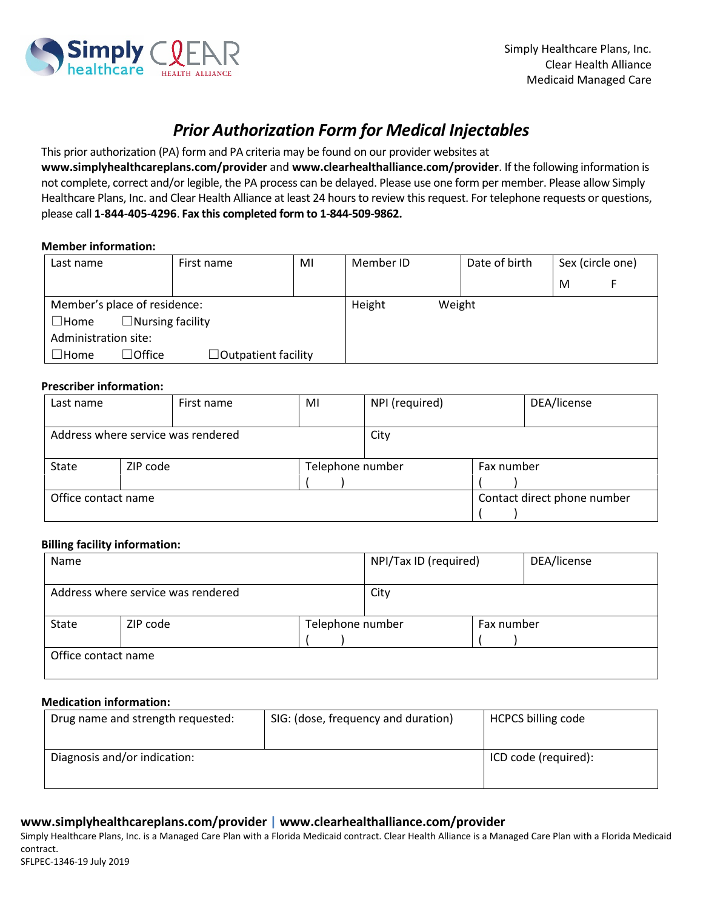

# *Prior Authorization Form for Medical Injectables*

This prior authorization (PA) form and PA criteria may be found on our provider websites at

**www.simplyhealthcareplans.com/provider** and **www.clearhealthalliance.com/provider**. If the following information is not complete, correct and/or legible, the PA process can be delayed. Please use one form per member. Please allow Simply Healthcare Plans, Inc. and Clear Health Alliance at least 24 hours to review this request. For telephone requests or questions, please call **1-844-405-4296**. **Fax this completed form to 1-844-509-9862.**

### **Member information:**

| Last name                              | First name           | MI | Member ID | Date of birth |   | Sex (circle one) |
|----------------------------------------|----------------------|----|-----------|---------------|---|------------------|
|                                        |                      |    |           |               | M |                  |
| Member's place of residence:           |                      |    | Height    | Weight        |   |                  |
| $\Box$ Nursing facility<br>$\Box$ Home |                      |    |           |               |   |                  |
| Administration site:                   |                      |    |           |               |   |                  |
| $\Box$ Office<br>$\Box$ Home           | □Outpatient facility |    |           |               |   |                  |

#### **Prescriber information:**

| Last name           |                                            | First name | MI               | DEA/license<br>NPI (required) |            |                             |
|---------------------|--------------------------------------------|------------|------------------|-------------------------------|------------|-----------------------------|
|                     |                                            |            |                  |                               |            |                             |
|                     | Address where service was rendered<br>City |            |                  |                               |            |                             |
|                     |                                            |            |                  |                               |            |                             |
| State               | ZIP code                                   |            | Telephone number |                               | Fax number |                             |
|                     |                                            |            |                  |                               |            |                             |
| Office contact name |                                            |            |                  |                               |            | Contact direct phone number |
|                     |                                            |            |                  |                               |            |                             |

#### **Billing facility information:**

| Name  |                                    | NPI/Tax ID (required) |      | DEA/license |  |
|-------|------------------------------------|-----------------------|------|-------------|--|
|       | Address where service was rendered |                       | City |             |  |
| State | ZIP code                           | Telephone number      |      | Fax number  |  |
|       | Office contact name                |                       |      |             |  |

#### **Medication information:**

| Drug name and strength requested: | SIG: (dose, frequency and duration) | <b>HCPCS billing code</b> |
|-----------------------------------|-------------------------------------|---------------------------|
| Diagnosis and/or indication:      |                                     | ICD code (required):      |

## **www.simplyhealthcareplans.com/provider | www.clearhealthalliance.com/provider**

Simply Healthcare Plans, Inc. is a Managed Care Plan with a Florida Medicaid contract. Clear Health Alliance is a Managed Care Plan with a Florida Medicaid contract.